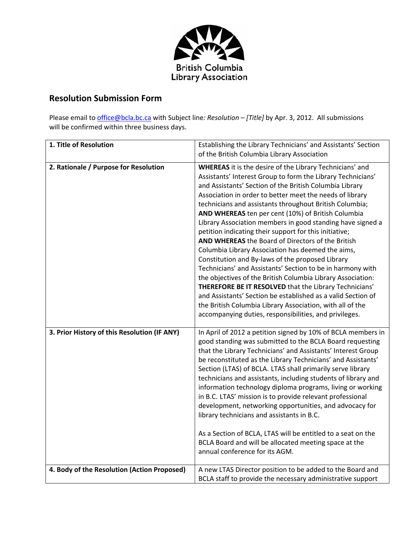

## **Resolution Submission Form**

Please email to office@bcla.bc.ca with Subject line*: Resolution – [Title]* by Apr. 3, 2012. All submissions will be confirmed within three business days.

| 1. Title of Resolution                       | Establishing the Library Technicians' and Assistants' Section<br>of the British Columbia Library Association                                                                                                                                                                                                                                                                                                                                                                                                                                                                                                                                                                                                                                                                                                                                                                                                                                                                                                                               |
|----------------------------------------------|--------------------------------------------------------------------------------------------------------------------------------------------------------------------------------------------------------------------------------------------------------------------------------------------------------------------------------------------------------------------------------------------------------------------------------------------------------------------------------------------------------------------------------------------------------------------------------------------------------------------------------------------------------------------------------------------------------------------------------------------------------------------------------------------------------------------------------------------------------------------------------------------------------------------------------------------------------------------------------------------------------------------------------------------|
| 2. Rationale / Purpose for Resolution        | <b>WHEREAS</b> it is the desire of the Library Technicians' and<br>Assistants' Interest Group to form the Library Technicians'<br>and Assistants' Section of the British Columbia Library<br>Association in order to better meet the needs of library<br>technicians and assistants throughout British Columbia;<br>AND WHEREAS ten per cent (10%) of British Columbia<br>Library Association members in good standing have signed a<br>petition indicating their support for this initiative;<br>AND WHEREAS the Board of Directors of the British<br>Columbia Library Association has deemed the aims,<br>Constitution and By-laws of the proposed Library<br>Technicians' and Assistants' Section to be in harmony with<br>the objectives of the British Columbia Library Association:<br>THEREFORE BE IT RESOLVED that the Library Technicians'<br>and Assistants' Section be established as a valid Section of<br>the British Columbia Library Association, with all of the<br>accompanying duties, responsibilities, and privileges. |
| 3. Prior History of this Resolution (IF ANY) | In April of 2012 a petition signed by 10% of BCLA members in<br>good standing was submitted to the BCLA Board requesting<br>that the Library Technicians' and Assistants' Interest Group<br>be reconstituted as the Library Technicians' and Assistants'<br>Section (LTAS) of BCLA. LTAS shall primarily serve library<br>technicians and assistants, including students of library and<br>information technology diploma programs, living or working<br>in B.C. LTAS' mission is to provide relevant professional<br>development, networking opportunities, and advocacy for<br>library technicians and assistants in B.C.<br>As a Section of BCLA, LTAS will be entitled to a seat on the<br>BCLA Board and will be allocated meeting space at the<br>annual conference for its AGM.                                                                                                                                                                                                                                                     |
| 4. Body of the Resolution (Action Proposed)  | A new LTAS Director position to be added to the Board and<br>BCLA staff to provide the necessary administrative support                                                                                                                                                                                                                                                                                                                                                                                                                                                                                                                                                                                                                                                                                                                                                                                                                                                                                                                    |